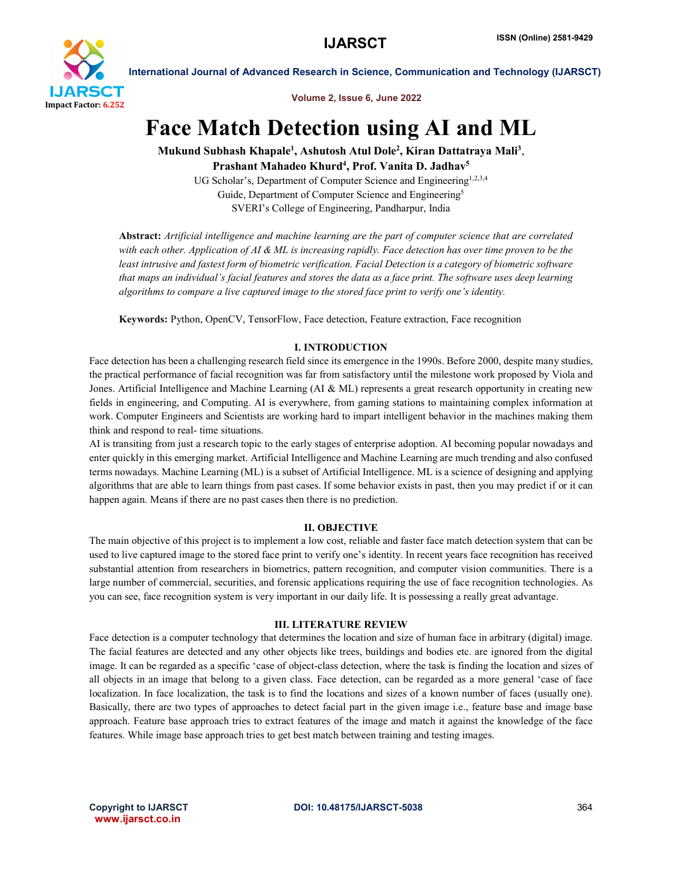

International Journal of Advanced Research in Science, Communication and Technology (IJARSCT)

Volume 2, Issue 6, June 2022

# Face Match Detection using AI and ML

Mukund Subhash Khapale<sup>1</sup>, Ashutosh Atul Dole<sup>2</sup>, Kiran Dattatraya Mali<sup>3</sup>, Prashant Mahadeo Khurd<sup>4</sup>, Prof. Vanita D. Jadhav<sup>5</sup>

UG Scholar's, Department of Computer Science and Engineering<sup>1,2,3,4</sup> Guide, Department of Computer Science and Engineering<sup>5</sup> SVERI's College of Engineering, Pandharpur, India

Abstract: *Artificial intelligence and machine learning are the part of computer science that are correlated with each other. Application of AI & ML is increasing rapidly. Face detection has over time proven to be the least intrusive and fastest form of biometric verification. Facial Detection is a category of biometric software that maps an individual's facial features and stores the data as a face print. The software uses deep learning algorithms to compare a live captured image to the stored face print to verify one's identity.*

Keywords: Python, OpenCV, TensorFlow, Face detection, Feature extraction, Face recognition

# I. INTRODUCTION

Face detection has been a challenging research field since its emergence in the 1990s. Before 2000, despite many studies, the practical performance of facial recognition was far from satisfactory until the milestone work proposed by Viola and Jones. Artificial Intelligence and Machine Learning (AI & ML) represents a great research opportunity in creating new fields in engineering, and Computing. AI is everywhere, from gaming stations to maintaining complex information at work. Computer Engineers and Scientists are working hard to impart intelligent behavior in the machines making them think and respond to real- time situations.

AI is transiting from just a research topic to the early stages of enterprise adoption. AI becoming popular nowadays and enter quickly in this emerging market. Artificial Intelligence and Machine Learning are much trending and also confused terms nowadays. Machine Learning (ML) is a subset of Artificial Intelligence. ML is a science of designing and applying algorithms that are able to learn things from past cases. If some behavior exists in past, then you may predict if or it can happen again. Means if there are no past cases then there is no prediction.

# II. OBJECTIVE

The main objective of this project is to implement a low cost, reliable and faster face match detection system that can be used to live captured image to the stored face print to verify one's identity. In recent years face recognition has received substantial attention from researchers in biometrics, pattern recognition, and computer vision communities. There is a large number of commercial, securities, and forensic applications requiring the use of face recognition technologies. As you can see, face recognition system is very important in our daily life. It is possessing a really great advantage.

# III. LITERATURE REVIEW

Face detection is a computer technology that determines the location and size of human face in arbitrary (digital) image. The facial features are detected and any other objects like trees, buildings and bodies etc. are ignored from the digital image. It can be regarded as a specific 'case of object-class detection, where the task is finding the location and sizes of all objects in an image that belong to a given class. Face detection, can be regarded as a more general 'case of face localization. In face localization, the task is to find the locations and sizes of a known number of faces (usually one). Basically, there are two types of approaches to detect facial part in the given image i.e., feature base and image base approach. Feature base approach tries to extract features of the image and match it against the knowledge of the face features. While image base approach tries to get best match between training and testing images.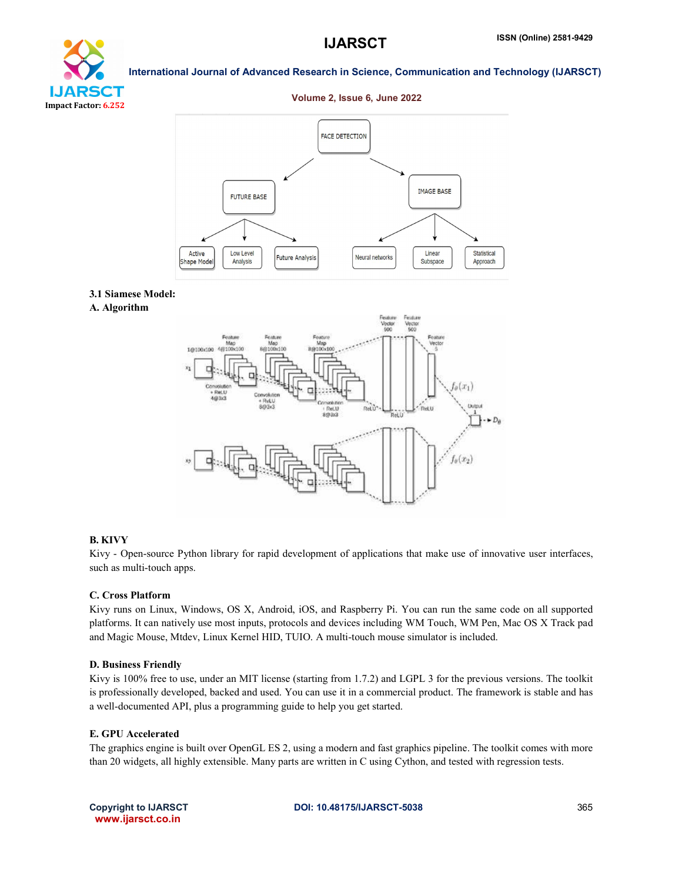

International Journal of Advanced Research in Science, Communication and Technology (IJARSCT)

# Volume 2, Issue 6, June 2022



# 3.1 Siamese Model:

A. Algorithm



#### B. KIVY

Kivy - Open-source Python library for rapid development of applications that make use of innovative user interfaces, such as multi-touch apps.

### C. Cross Platform

Kivy runs on Linux, Windows, OS X, Android, iOS, and Raspberry Pi. You can run the same code on all supported platforms. It can natively use most inputs, protocols and devices including WM Touch, WM Pen, Mac OS X Track pad and Magic Mouse, Mtdev, Linux Kernel HID, TUIO. A multi-touch mouse simulator is included.

#### D. Business Friendly

Kivy is 100% free to use, under an MIT license (starting from 1.7.2) and LGPL 3 for the previous versions. The toolkit is professionally developed, backed and used. You can use it in a commercial product. The framework is stable and has a well-documented API, plus a programming guide to help you get started.

# E. GPU Accelerated

The graphics engine is built over OpenGL ES 2, using a modern and fast graphics pipeline. The toolkit comes with more than 20 widgets, all highly extensible. Many parts are written in C using Cython, and tested with regression tests.